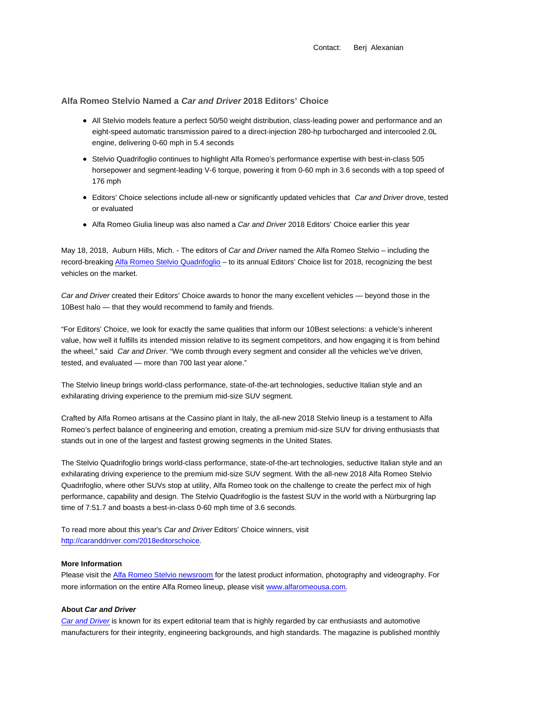Contact: Berj Alexanian

**Alfa Romeo Stelvio Named a Car and Driver 2018 Editors' Choice**

- All Stelvio models feature a perfect 50/50 weight distribution, class-leading power and performance and an eight-speed automatic transmission paired to a direct-injection 280-hp turbocharged and intercooled 2.0L engine, delivering 0-60 mph in 5.4 seconds
- Stelvio Quadrifoglio continues to highlight Alfa Romeo's performance expertise with best-in-class 505 horsepower and segment-leading V-6 torque, powering it from 0-60 mph in 3.6 seconds with a top speed of 176 mph
- Editors' Choice selections include all-new or significantly updated vehicles that Car and Driver drove, tested or evaluated
- Alfa Romeo Giulia lineup was also named a Car and Driver 2018 Editors' Choice earlier this year

May 18, 2018, Auburn Hills, Mich. - The editors of Car and Driver named the Alfa Romeo Stelvio – including the record-breaking Alfa Romeo Stelvio Quadrifoglio – to its annual Editors' Choice list for 2018, recognizing the best vehicles on the market.

Car and Driver created their Editors' Choice awards to honor the many excellent vehicles — beyond those in the 10Best halo — that they would recommend to family and friends.

"For Editors' Choice, we look for exactly the same qualities that inform our 10Best selections: a vehicle's inherent value, how well it fulfills its intended mission relative to its segment competitors, and how engaging it is from behind the wheel," said Car and Driver. "We comb through every segment and consider all the vehicles we've driven, tested, and evaluated — more than 700 last year alone."

The Stelvio lineup brings world-class performance, state-of-the-art technologies, seductive Italian style and an exhilarating driving experience to the premium mid-size SUV segment.

Crafted by Alfa Romeo artisans at the Cassino plant in Italy, the all-new 2018 Stelvio lineup is a testament to Alfa Romeo's perfect balance of engineering and emotion, creating a premium mid-size SUV for driving enthusiasts that stands out in one of the largest and fastest growing segments in the United States.

The Stelvio Quadrifoglio brings world-class performance, state-of-the-art technologies, seductive Italian style and an exhilarating driving experience to the premium mid-size SUV segment. With the all-new 2018 Alfa Romeo Stelvio Quadrifoglio, where other SUVs stop at utility, Alfa Romeo took on the challenge to create the perfect mix of high performance, capability and design. The Stelvio Quadrifoglio is the fastest SUV in the world with a Nürburgring lap time of 7:51.7 and boasts a best-in-class 0-60 mph time of 3.6 seconds.

To read more about this year's Car and Driver Editors' Choice winners, visit http://caranddriver.com/2018editorschoice.

## **More Information**

Please visit the Alfa Romeo Stelvio newsroom for the latest product information, photography and videography. For more information on the entire Alfa Romeo lineup, please visit www.alfaromeousa.com.

## **About Car and Driver**

Car and Driver is known for its expert editorial team that is highly regarded by car enthusiasts and automotive manufacturers for their integrity, engineering backgrounds, and high standards. The magazine is published monthly